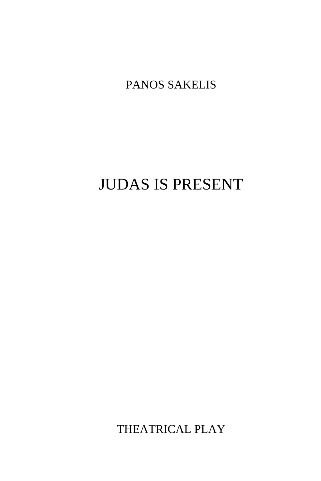PANOS SAKELIS

# JUDAS IS PRESENT

THEATRICAL PLAY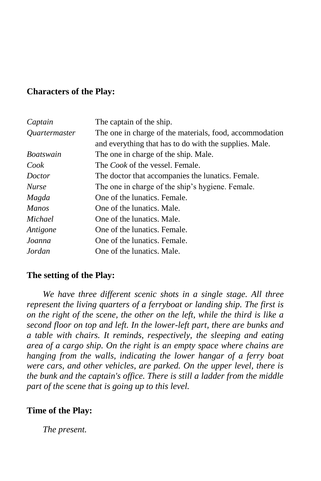### **Characters of the Play:**

| Captain              | The captain of the ship.                                |
|----------------------|---------------------------------------------------------|
| <i>Ouartermaster</i> | The one in charge of the materials, food, accommodation |
|                      | and everything that has to do with the supplies. Male.  |
| <i>Boatswain</i>     | The one in charge of the ship. Male.                    |
| Cook                 | The <i>Cook</i> of the vessel. Female.                  |
| <i>Doctor</i>        | The doctor that accompanies the lunatics. Female.       |
| <b>Nurse</b>         | The one in charge of the ship's hygiene. Female.        |
| Magda                | One of the lunatics. Female.                            |
| <b>Manos</b>         | One of the lunatics. Male.                              |
| Michael              | One of the lunatics. Male.                              |
| Antigone             | One of the lunatics. Female.                            |
| Joanna               | One of the lunatics. Female.                            |
| Jordan               | One of the lunatics. Male.                              |

#### **The setting of the Play:**

*We have three different scenic shots in a single stage. All three represent the living quarters of a ferryboat or landing ship. The first is on the right of the scene, the other on the left, while the third is like a second floor on top and left. In the lower-left part, there are bunks and a table with chairs. It reminds, respectively, the sleeping and eating area of a cargo ship. On the right is an empty space where chains are hanging from the walls, indicating the lower hangar of a ferry boat were cars, and other vehicles, are parked. On the upper level, there is the bunk and the captain's office. There is still a ladder from the middle part of the scene that is going up to this level.*

#### **Time of the Play:**

*The present.*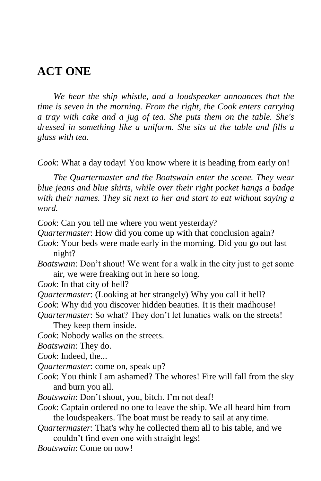## **ACT ONE**

*We hear the ship whistle, and a loudspeaker announces that the time is seven in the morning. From the right, the Cook enters carrying a tray with cake and a jug of tea. She puts them on the table. She's dressed in something like a uniform. She sits at the table and fills a glass with tea.*

*Cook*: What a day today! You know where it is heading from early on!

*The Quartermaster and the Boatswain enter the scene. They wear blue jeans and blue shirts, while over their right pocket hangs a badge with their names. They sit next to her and start to eat without saying a word.*

- *Cook*: Can you tell me where you went yesterday?
- *Quartermaster*: How did you come up with that conclusion again?
- *Cook*: Your beds were made early in the morning. Did you go out last night?
- *Boatswain*: Don"t shout! We went for a walk in the city just to get some air, we were freaking out in here so long.

*Cook*: In that city of hell?

*Quartermaster*: (Looking at her strangely) Why you call it hell?

*Cook*: Why did you discover hidden beauties. It is their madhouse!

*Quartermaster*: So what? They don"t let lunatics walk on the streets!

They keep them inside.

*Cook*: Nobody walks on the streets.

*Boatswain*: They do.

*Cook*: Indeed, the...

- *Quartermaster*: come on, speak up?
- *Cook*: You think I am ashamed? The whores! Fire will fall from the sky and burn you all.
- *Boatswain*: Don't shout, you, bitch. I'm not deaf!
- *Cook*: Captain ordered no one to leave the ship. We all heard him from the loudspeakers. The boat must be ready to sail at any time.
- *Quartermaster*: That's why he collected them all to his table, and we couldn"t find even one with straight legs!
- *Boatswain*: Come on now!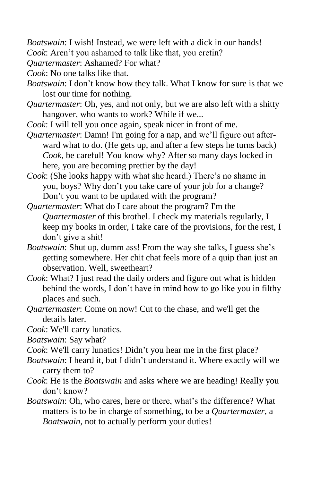*Boatswain*: I wish! Instead, we were left with a dick in our hands!

*Cook*: Aren't you ashamed to talk like that, you cretin?

*Quartermaster*: Ashamed? For what?

*Cook*: No one talks like that.

- *Boatswain*: I don"t know how they talk. What I know for sure is that we lost our time for nothing.
- *Quartermaster*: Oh, yes, and not only, but we are also left with a shitty hangover, who wants to work? While if we...
- *Cook*: I will tell you once again, speak nicer in front of me.
- *Quartermaster*: Damn! I'm going for a nap, and we"ll figure out afterward what to do. (He gets up, and after a few steps he turns back) *Cook*, be careful! You know why? After so many days locked in here, you are becoming prettier by the day!
- *Cook*: (She looks happy with what she heard.) There's no shame in you, boys? Why don"t you take care of your job for a change? Don"t you want to be updated with the program?
- *Quartermaster*: What do I care about the program? I'm the *Quartermaster* of this brothel. I check my materials regularly, I keep my books in order, I take care of the provisions, for the rest, I don"t give a shit!
- *Boatswain*: Shut up, dumm ass! From the way she talks, I guess she's getting somewhere. Her chit chat feels more of a quip than just an observation. Well, sweetheart?
- *Cook*: What? I just read the daily orders and figure out what is hidden behind the words, I don"t have in mind how to go like you in filthy places and such.
- *Quartermaster*: Come on now! Cut to the chase, and we'll get the details later.
- *Cook*: We'll carry lunatics.
- *Boatswain*: Say what?
- *Cook*: We'll carry lunatics! Didn't you hear me in the first place?
- *Boatswain*: I heard it, but I didn"t understand it. Where exactly will we carry them to?
- *Cook*: He is the *Boatswain* and asks where we are heading! Really you don"t know?
- *Boatswain*: Oh, who cares, here or there, what"s the difference? What matters is to be in charge of something, to be a *Quartermaster*, a *Boatswain*, not to actually perform your duties!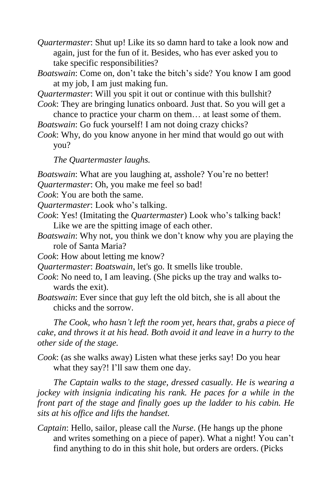*Quartermaster*: Shut up! Like its so damn hard to take a look now and again, just for the fun of it. Besides, who has ever asked you to take specific responsibilities?

*Boatswain*: Come on, don't take the bitch's side? You know I am good at my job, I am just making fun.

*Quartermaster*: Will you spit it out or continue with this bullshit?

- *Cook*: They are bringing lunatics onboard. Just that. So you will get a chance to practice your charm on them… at least some of them.
- *Boatswain*: Go fuck yourself! I am not doing crazy chicks?

*Cook*: Why, do you know anyone in her mind that would go out with you?

*The Quartermaster laughs.*

*Boatswain*: What are you laughing at, asshole? You're no better!

*Quartermaster*: Oh, you make me feel so bad!

*Cook*: You are both the same.

*Quartermaster:* Look who's talking.

- *Cook*: Yes! (Imitating the *Quartermaster*) Look who"s talking back! Like we are the spitting image of each other.
- *Boatswain*: Why not, you think we don"t know why you are playing the role of Santa Maria?
- *Cook*: How about letting me know?

*Quartermaster*: *Boatswain*, let's go. It smells like trouble.

- *Cook*: No need to, I am leaving. (She picks up the tray and walks towards the exit).
- *Boatswain*: Ever since that guy left the old bitch, she is all about the chicks and the sorrow.

*The Cook, who hasn't left the room yet, hears that, grabs a piece of cake, and throws it at his head. Both avoid it and leave in a hurry to the other side of the stage.*

*Cook*: (as she walks away) Listen what these jerks say! Do you hear what they say?! I'll saw them one day.

*The Captain walks to the stage, dressed casually. He is wearing a jockey with insignia indicating his rank. He paces for a while in the front part of the stage and finally goes up the ladder to his cabin. He sits at his office and lifts the handset.*

*Captain*: Hello, sailor, please call the *Nurse*. (He hangs up the phone and writes something on a piece of paper). What a night! You can"t find anything to do in this shit hole, but orders are orders. (Picks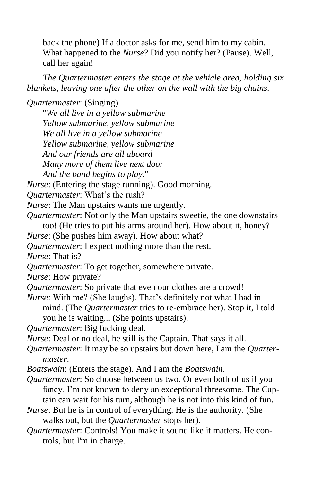back the phone) If a doctor asks for me, send him to my cabin. What happened to the *Nurse*? Did you notify her? (Pause). Well, call her again!

*The Quartermaster enters the stage at the vehicle area, holding six blankets, leaving one after the other on the wall with the big chains.*

*Quartermaster*: (Singing)

"*We all live in a yellow submarine Yellow submarine, yellow submarine We all live in a yellow submarine Yellow submarine, yellow submarine And our friends are all aboard Many more of them live next door*

*And the band begins to play*."

*Nurse*: (Entering the stage running). Good morning.

*Quartermaster*: What"s the rush?

*Nurse*: The Man upstairs wants me urgently.

*Quartermaster*: Not only the Man upstairs sweetie, the one downstairs

too! (He tries to put his arms around her). How about it, honey?

*Nurse*: (She pushes him away). How about what?

*Quartermaster*: I expect nothing more than the rest.

*Nurse*: That is?

*Quartermaster*: To get together, somewhere private.

*Nurse*: How private?

*Quartermaster*: So private that even our clothes are a crowd!

*Nurse*: With me? (She laughs). That's definitely not what I had in mind. (The *Quartermaster* tries to re-embrace her). Stop it, I told you he is waiting... (She points upstairs).

*Quartermaster*: Big fucking deal.

*Nurse*: Deal or no deal, he still is the Captain. That says it all.

*Quartermaster*: It may be so upstairs but down here, I am the *Quartermaster*.

- *Boatswain*: (Enters the stage). And I am the *Boatswain*.
- *Quartermaster*: So choose between us two. Or even both of us if you fancy. I'm not known to deny an exceptional threesome. The Captain can wait for his turn, although he is not into this kind of fun.
- *Nurse*: But he is in control of everything. He is the authority. (She walks out, but the *Quartermaster* stops her).
- *Quartermaster*: Controls! You make it sound like it matters. He controls, but I'm in charge.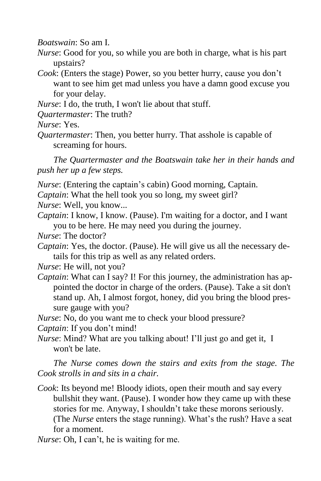*Boatswain*: So am I.

- *Nurse*: Good for you, so while you are both in charge, what is his part upstairs?
- *Cook*: (Enters the stage) Power, so you better hurry, cause you don"t want to see him get mad unless you have a damn good excuse you for your delay.

*Nurse*: I do, the truth, I won't lie about that stuff.

*Quartermaster*: The truth?

*Nurse*: Yes.

*Quartermaster*: Then, you better hurry. That asshole is capable of screaming for hours.

*The Quartermaster and the Boatswain take her in their hands and push her up a few steps.*

- *Nurse*: (Entering the captain's cabin) Good morning, Captain.
- *Captain*: What the hell took you so long, my sweet girl?

*Nurse*: Well, you know...

- *Captain*: I know, I know. (Pause). I'm waiting for a doctor, and I want you to be here. He may need you during the journey.
- *Nurse*: The doctor?
- *Captain*: Yes, the doctor. (Pause). He will give us all the necessary details for this trip as well as any related orders.

*Nurse*: He will, not you?

*Captain*: What can I say? I! For this journey, the administration has appointed the doctor in charge of the orders. (Pause). Take a sit don't stand up. Ah, I almost forgot, honey, did you bring the blood pressure gauge with you?

*Nurse*: No, do you want me to check your blood pressure?

*Captain*: If you don't mind!

*Nurse*: Mind? What are you talking about! I'll just go and get it, I won't be late.

*The Nurse comes down the stairs and exits from the stage. The Cook strolls in and sits in a chair.*

- *Cook*: Its beyond me! Bloody idiots, open their mouth and say every bullshit they want. (Pause). I wonder how they came up with these stories for me. Anyway, I shouldn"t take these morons seriously. (The *Nurse* enters the stage running). What"s the rush? Have a seat for a moment.
- *Nurse*: Oh, I can't, he is waiting for me.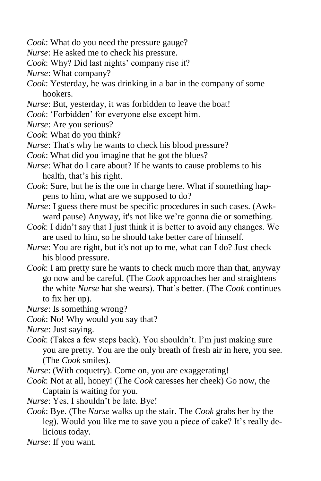- *Cook*: What do you need the pressure gauge?
- *Nurse*: He asked me to check his pressure.
- *Cook*: Why? Did last nights' company rise it?
- *Nurse*: What company?
- *Cook*: Yesterday, he was drinking in a bar in the company of some hookers.
- *Nurse*: But, yesterday, it was forbidden to leave the boat!
- *Cook*: "Forbidden" for everyone else except him.
- *Nurse*: Are you serious?
- *Cook*: What do you think?
- *Nurse*: That's why he wants to check his blood pressure?
- *Cook*: What did you imagine that he got the blues?
- *Nurse*: What do I care about? If he wants to cause problems to his health, that's his right.
- *Cook*: Sure, but he is the one in charge here. What if something happens to him, what are we supposed to do?
- *Nurse*: I guess there must be specific procedures in such cases. (Awkward pause) Anyway, it's not like we're gonna die or something.
- *Cook*: I didn't say that I just think it is better to avoid any changes. We are used to him, so he should take better care of himself.
- *Nurse*: You are right, but it's not up to me, what can I do? Just check his blood pressure.
- *Cook*: I am pretty sure he wants to check much more than that, anyway go now and be careful. (The *Cook* approaches her and straightens the white *Nurse* hat she wears). That"s better. (The *Cook* continues to fix her up).
- *Nurse*: Is something wrong?
- *Cook*: No! Why would you say that?
- *Nurse*: Just saying.
- *Cook*: (Takes a few steps back). You shouldn"t. I"m just making sure you are pretty. You are the only breath of fresh air in here, you see. (The *Cook* smiles).
- *Nurse*: (With coquetry). Come on, you are exaggerating!
- *Cook*: Not at all, honey! (The *Cook* caresses her cheek) Go now, the Captain is waiting for you.
- *Nurse*: Yes, I shouldn"t be late. Bye!
- *Cook*: Bye. (The *Nurse* walks up the stair. The *Cook* grabs her by the leg). Would you like me to save you a piece of cake? It's really delicious today.
- *Nurse*: If you want.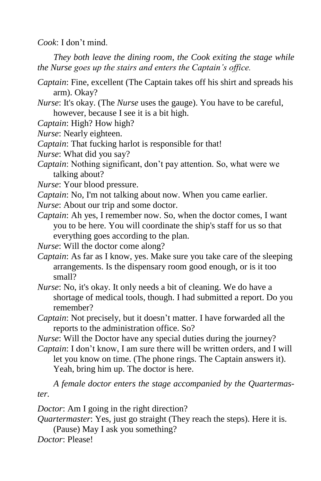*Cook*: I don"t mind.

*They both leave the dining room, the Cook exiting the stage while the Nurse goes up the stairs and enters the Captain's office.*

- *Captain*: Fine, excellent (The Captain takes off his shirt and spreads his arm). Okay?
- *Nurse*: It's okay. (The *Nurse* uses the gauge). You have to be careful, however, because I see it is a bit high.

*Captain*: High? How high?

*Nurse*: Nearly eighteen.

*Captain*: That fucking harlot is responsible for that!

*Nurse*: What did you say?

- *Captain*: Nothing significant, don't pay attention. So, what were we talking about?
- *Nurse*: Your blood pressure.
- *Captain*: No, I'm not talking about now. When you came earlier.
- *Nurse*: About our trip and some doctor.
- *Captain*: Ah yes, I remember now. So, when the doctor comes, I want you to be here. You will coordinate the ship's staff for us so that everything goes according to the plan.

*Nurse*: Will the doctor come along?

*Captain*: As far as I know, yes. Make sure you take care of the sleeping arrangements. Is the dispensary room good enough, or is it too small?

*Nurse*: No, it's okay. It only needs a bit of cleaning. We do have a shortage of medical tools, though. I had submitted a report. Do you remember?

*Captain*: Not precisely, but it doesn"t matter. I have forwarded all the reports to the administration office. So?

*Nurse*: Will the Doctor have any special duties during the journey? *Captain*: I don't know, I am sure there will be written orders, and I will

let you know on time. (The phone rings. The Captain answers it). Yeah, bring him up. The doctor is here.

*A female doctor enters the stage accompanied by the Quartermaster.*

*Doctor*: Am I going in the right direction?

*Quartermaster*: Yes, just go straight (They reach the steps). Here it is.

(Pause) May I ask you something?

*Doctor*: Please!